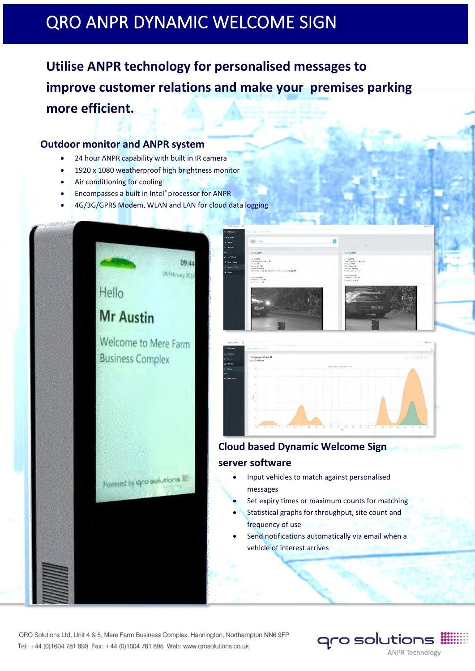# QRO ANPR DYNAMIC WELCOME SIGN

**Utilise ANPR technology for personalised messages to improve customer relations and make your premises parking more efficient.**

### **Outdoor monitor and ANPR system**

- 24 hour ANPR capability with built in IR camera
- 1920 x 1080 weatherproof high brightness monitor
- Air conditioning for cooling
- Encompasses a built in Intel® processor for ANPR
- 4G/3G/GPRS Modem, WLAN and LAN for cloud data logging



QRO Solutions Ltd, Unit 4 & 5, Mere Farm Business Complex, Hannington, Northampton NN6 9FP Tel: +44 (0)1604 781 890 Fax: +44 (0)1604 781 895 Web: www.qrosolutions.co.uk